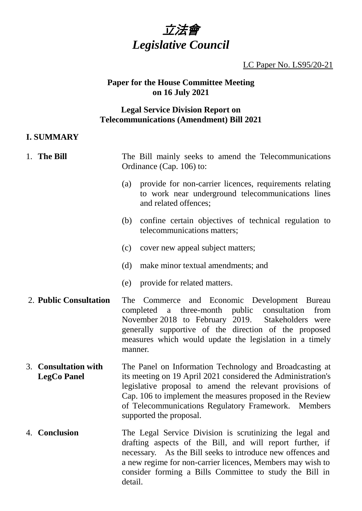

# LC Paper No. LS95/20-21

#### **Paper for the House Committee Meeting on 16 July 2021**

## **Legal Service Division Report on Telecommunications (Amendment) Bill 2021**

## **I. SUMMARY**

| 1. The Bill                                | The Bill mainly seeks to amend the Telecommunications<br>Ordinance (Cap. 106) to:                                                                                                                                                                                                                                                  |                                                                                                                                                                                                                                                                             |
|--------------------------------------------|------------------------------------------------------------------------------------------------------------------------------------------------------------------------------------------------------------------------------------------------------------------------------------------------------------------------------------|-----------------------------------------------------------------------------------------------------------------------------------------------------------------------------------------------------------------------------------------------------------------------------|
|                                            | (a)                                                                                                                                                                                                                                                                                                                                | provide for non-carrier licences, requirements relating<br>to work near underground telecommunications lines<br>and related offences;                                                                                                                                       |
|                                            | (b)                                                                                                                                                                                                                                                                                                                                | confine certain objectives of technical regulation to<br>telecommunications matters;                                                                                                                                                                                        |
|                                            | (c)                                                                                                                                                                                                                                                                                                                                | cover new appeal subject matters;                                                                                                                                                                                                                                           |
|                                            | (d)                                                                                                                                                                                                                                                                                                                                | make minor textual amendments; and                                                                                                                                                                                                                                          |
|                                            | (e)                                                                                                                                                                                                                                                                                                                                | provide for related matters.                                                                                                                                                                                                                                                |
| 2. Public Consultation                     | The<br>manner.                                                                                                                                                                                                                                                                                                                     | Commerce and Economic Development<br>Bureau<br>completed a three-month public consultation<br>from<br>November 2018 to February 2019. Stakeholders were<br>generally supportive of the direction of the proposed<br>measures which would update the legislation in a timely |
| 3. Consultation with<br><b>LegCo Panel</b> | The Panel on Information Technology and Broadcasting at<br>its meeting on 19 April 2021 considered the Administration's<br>legislative proposal to amend the relevant provisions of<br>Cap. 106 to implement the measures proposed in the Review<br>of Telecommunications Regulatory Framework. Members<br>supported the proposal. |                                                                                                                                                                                                                                                                             |
| 4. Conclusion                              |                                                                                                                                                                                                                                                                                                                                    | The Legal Service Division is scrutinizing the legal and                                                                                                                                                                                                                    |

drafting aspects of the Bill, and will report further, if necessary. As the Bill seeks to introduce new offences and a new regime for non-carrier licences, Members may wish to consider forming a Bills Committee to study the Bill in detail.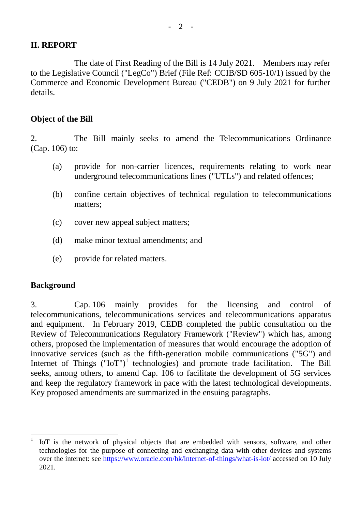# **II. REPORT**

The date of First Reading of the Bill is 14 July 2021. Members may refer to the Legislative Council ("LegCo") Brief (File Ref: CCIB/SD 605-10/1) issued by the Commerce and Economic Development Bureau ("CEDB") on 9 July 2021 for further details.

# **Object of the Bill**

2. The Bill mainly seeks to amend the Telecommunications Ordinance (Cap. 106) to:

- (a) provide for non-carrier licences, requirements relating to work near underground telecommunications lines ("UTLs") and related offences;
- (b) confine certain objectives of technical regulation to telecommunications matters;
- (c) cover new appeal subject matters;
- (d) make minor textual amendments; and
- (e) provide for related matters.

## **Background**

3. Cap. 106 mainly provides for the licensing and control of telecommunications, telecommunications services and telecommunications apparatus and equipment. In February 2019, CEDB completed the public consultation on the Review of Telecommunications Regulatory Framework ("Review") which has, among others, proposed the implementation of measures that would encourage the adoption of innovative services (such as the fifth-generation mobile communications ("5G") and Internet of Things  $("IoT")^1$  technologies) and promote trade facilitation. The Bill seeks, among others, to amend Cap. 106 to facilitate the development of 5G services and keep the regulatory framework in pace with the latest technological developments. Key proposed amendments are summarized in the ensuing paragraphs.

<sup>1</sup> IoT is the network of physical objects that are embedded with sensors, software, and other technologies for the purpose of connecting and exchanging data with other devices and systems over the internet: see <https://www.oracle.com/hk/internet-of-things/what-is-iot/> accessed on 10 July 2021.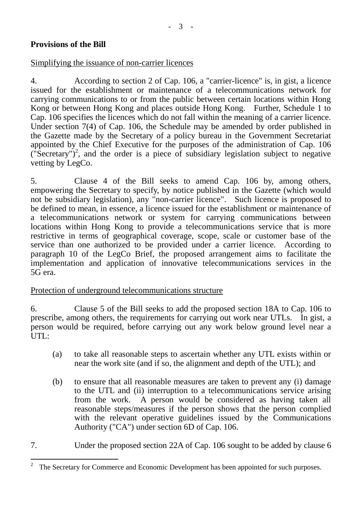# **Provisions of the Bill**

## Simplifying the issuance of non-carrier licences

4. According to section 2 of Cap. 106, a "carrier-licence" is, in gist, a licence issued for the establishment or maintenance of a telecommunications network for carrying communications to or from the public between certain locations within Hong Kong or between Hong Kong and places outside Hong Kong. Further, Schedule 1 to Cap. 106 specifies the licences which do not fall within the meaning of a carrier licence. Under section 7(4) of Cap. 106, the Schedule may be amended by order published in the Gazette made by the Secretary of a policy bureau in the Government Secretariat appointed by the Chief Executive for the purposes of the administration of Cap. 106  $(\overrightarrow{S}$  Secretary")<sup>2</sup>, and the order is a piece of subsidiary legislation subject to negative vetting by LegCo.

5. Clause 4 of the Bill seeks to amend Cap. 106 by, among others, empowering the Secretary to specify, by notice published in the Gazette (which would not be subsidiary legislation), any "non-carrier licence". Such licence is proposed to be defined to mean, in essence, a licence issued for the establishment or maintenance of a telecommunications network or system for carrying communications between locations within Hong Kong to provide a telecommunications service that is more restrictive in terms of geographical coverage, scope, scale or customer base of the service than one authorized to be provided under a carrier licence. According to paragraph 10 of the LegCo Brief, the proposed arrangement aims to facilitate the implementation and application of innovative telecommunications services in the 5G era.

## Protection of underground telecommunications structure

6. Clause 5 of the Bill seeks to add the proposed section 18A to Cap. 106 to prescribe, among others, the requirements for carrying out work near UTLs. In gist, a person would be required, before carrying out any work below ground level near a UTL:

- (a) to take all reasonable steps to ascertain whether any UTL exists within or near the work site (and if so, the alignment and depth of the UTL); and
- (b) to ensure that all reasonable measures are taken to prevent any (i) damage to the UTL and (ii) interruption to a telecommunications service arising from the work. A person would be considered as having taken all reasonable steps/measures if the person shows that the person complied with the relevant operative guidelines issued by the Communications Authority ("CA") under section 6D of Cap. 106.
- 7. Under the proposed section 22A of Cap. 106 sought to be added by clause 6

 $\overline{a}$ 2 The Secretary for Commerce and Economic Development has been appointed for such purposes.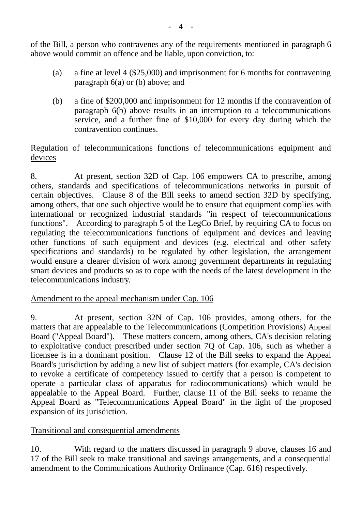of the Bill, a person who contravenes any of the requirements mentioned in paragraph 6 above would commit an offence and be liable, upon conviction, to:

- (a) a fine at level 4 (\$25,000) and imprisonment for 6 months for contravening paragraph 6(a) or (b) above; and
- (b) a fine of \$200,000 and imprisonment for 12 months if the contravention of paragraph 6(b) above results in an interruption to a telecommunications service, and a further fine of \$10,000 for every day during which the contravention continues.

# Regulation of telecommunications functions of telecommunications equipment and devices

8. At present, section 32D of Cap. 106 empowers CA to prescribe, among others, standards and specifications of telecommunications networks in pursuit of certain objectives. Clause 8 of the Bill seeks to amend section 32D by specifying, among others, that one such objective would be to ensure that equipment complies with international or recognized industrial standards "in respect of telecommunications functions". According to paragraph 5 of the LegCo Brief, by requiring CA to focus on regulating the telecommunications functions of equipment and devices and leaving other functions of such equipment and devices (e.g. electrical and other safety specifications and standards) to be regulated by other legislation, the arrangement would ensure a clearer division of work among government departments in regulating smart devices and products so as to cope with the needs of the latest development in the telecommunications industry.

## Amendment to the appeal mechanism under Cap. 106

9. At present, section 32N of Cap. 106 provides, among others, for the matters that are appealable to the Telecommunications (Competition Provisions) Appeal Board ("Appeal Board"). These matters concern, among others, CA's decision relating to exploitative conduct prescribed under section 7Q of Cap. 106, such as whether a licensee is in a dominant position. Clause 12 of the Bill seeks to expand the Appeal Board's jurisdiction by adding a new list of subject matters (for example, CA's decision to revoke a certificate of competency issued to certify that a person is competent to operate a particular class of apparatus for radiocommunications) which would be appealable to the Appeal Board. Further, clause 11 of the Bill seeks to rename the Appeal Board as "Telecommunications Appeal Board" in the light of the proposed expansion of its jurisdiction.

## Transitional and consequential amendments

10. With regard to the matters discussed in paragraph 9 above, clauses 16 and 17 of the Bill seek to make transitional and savings arrangements, and a consequential amendment to the Communications Authority Ordinance (Cap. 616) respectively.